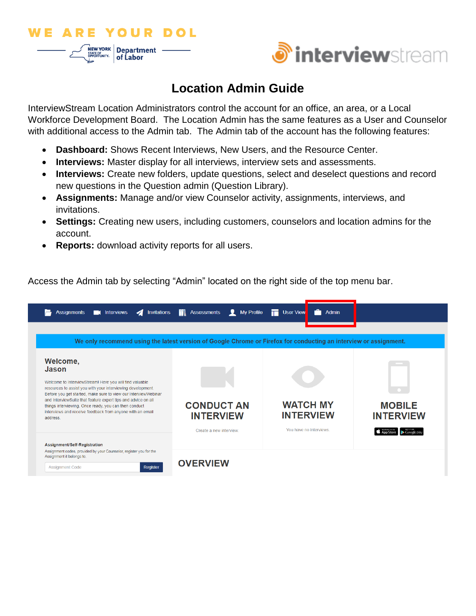



# **Location Admin Guide**

InterviewStream Location Administrators control the account for an office, an area, or a Local Workforce Development Board. The Location Admin has the same features as a User and Counselor with additional access to the Admin tab. The Admin tab of the account has the following features:

- **Dashboard:** Shows Recent Interviews, New Users, and the Resource Center.
- **Interviews:** Master display for all interviews, interview sets and assessments.
- **Interviews:** Create new folders, update questions, select and deselect questions and record new questions in the Question admin (Question Library).
- **Assignments:** Manage and/or view Counselor activity, assignments, interviews, and invitations.
- **Settings:** Creating new users, including customers, counselors and location admins for the account.
- **Reports:** download activity reports for all users.

Access the Admin tab by selecting "Admin" located on the right side of the top menu bar.

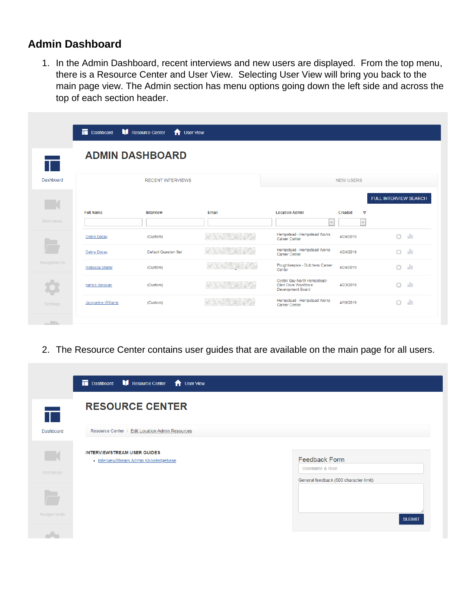#### **Admin Dashboard**

1. In the Admin Dashboard, recent interviews and new users are displayed. From the top menu, there is a Resource Center and User View. Selecting User View will bring you back to the main page view. The Admin section has menu options going down the left side and across the top of each section header.

|                   | Dashboard        | Resource Center<br><b>T</b> User View |       |                                                                                |                            |                       |     |
|-------------------|------------------|---------------------------------------|-------|--------------------------------------------------------------------------------|----------------------------|-----------------------|-----|
|                   |                  | <b>ADMIN DASHBOARD</b>                |       |                                                                                |                            |                       |     |
| Dashboard         |                  | <b>RECENT INTERVIEWS</b>              |       |                                                                                | <b>NEW USERS</b>           |                       |     |
|                   |                  |                                       |       |                                                                                |                            | FULL INTERVIEW SEARCH |     |
|                   | <b>Full Name</b> | Interview                             | Email | <b>Location Admin</b>                                                          | Created<br>$\triangledown$ |                       |     |
| <b>Interviews</b> |                  |                                       |       | $\check{~}$                                                                    | $\vee$                     |                       |     |
|                   | Debra Dobay      | (Custom)                              |       | Hempstead - Hempstead Works<br>Career Center                                   | 4/24/2019                  | O                     | ыh  |
|                   | Debra Dobay      | <b>Default Question Set</b>           |       | Hempstead - Hempstead Works<br>Career Center                                   | 4/24/2019                  | $\Box$                | dr. |
|                   |                  |                                       |       |                                                                                |                            |                       |     |
| Assignments       | Rebecca Shafer   | (Custom)                              |       | Poughkeepsie - Dutchess Career<br>Center                                       | 4/24/2019                  | $\Box$                | ыh  |
|                   | patrick donovan  | (Custom)                              |       | Oyster Bay-North Hempstead-<br>Glen Cove Workforce<br><b>Development Board</b> | 4/23/2019                  | $\Box$                | ъh  |

2. The Resource Center contains user guides that are available on the main page for all users.

|                   | Dashboard <b>If</b> Resource Center<br>User View                            |                                         |
|-------------------|-----------------------------------------------------------------------------|-----------------------------------------|
| H.                | <b>RESOURCE CENTER</b>                                                      |                                         |
| Dashboard         | Resource Center / Edit Location Admin Resources                             |                                         |
| <b>Interviews</b> | <b>INTERVIEWSTREAM USER GUIDES</b><br>• InterviewStream Admin Knowledgebase | <b>Feedback Form</b><br>Username & Role |
|                   |                                                                             | General feedback (500 character limit)  |
| Assignments       |                                                                             | <b>SUBMIT</b>                           |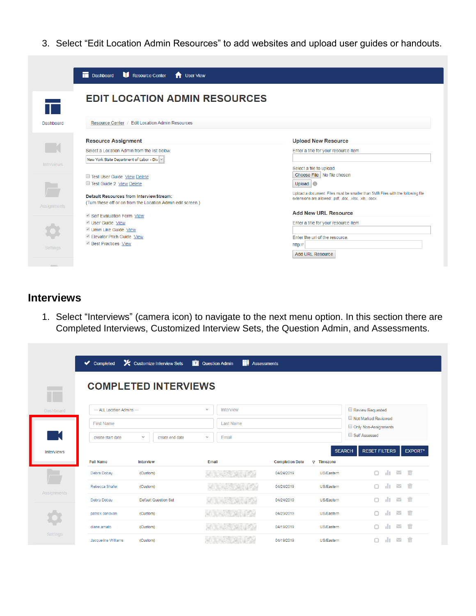3. Select "Edit Location Admin Resources" to add websites and upload user guides or handouts.

|                    | Resource Center<br>Dashboard<br><b>f</b> User View                                                     |                                                                                                                                            |
|--------------------|--------------------------------------------------------------------------------------------------------|--------------------------------------------------------------------------------------------------------------------------------------------|
|                    | <b>EDIT LOCATION ADMIN RESOURCES</b>                                                                   |                                                                                                                                            |
| Dashboard          | / Edit Location Admin Resources<br><b>Resource Center</b>                                              |                                                                                                                                            |
|                    | <b>Resource Assignment</b>                                                                             | <b>Upload New Resource</b>                                                                                                                 |
|                    | Select a Location Admin from the list below.                                                           | Enter a title for your resource item.                                                                                                      |
|                    | New York State Department of Labor - Div $ v $                                                         |                                                                                                                                            |
| <b>Interviews</b>  | Test User Guide View Delete<br>Test Guide 2 View Delete                                                | Select a file to upload.<br>Choose File   No file chosen<br>Upload <b>O</b>                                                                |
| <b>Assignments</b> | Default Resources from InterviewStream:<br>(Turn these off or on from the Location Admin edit screen.) | Upload a document. Files must be smaller than 5MB Files with the following file<br>extensions are allowed: .pdf, .doc, .xlsx, .xls, .docx. |
|                    | Self Evaluation Form View                                                                              | <b>Add New URL Resource</b>                                                                                                                |
|                    | User Guide View                                                                                        | Enter a title for your resource item.                                                                                                      |
|                    | Umm Like Guide View<br>Elevator Pitch Guide View                                                       | Enter the url of the resource.                                                                                                             |
| <b>Settings</b>    | <b>Best Practices View</b>                                                                             | http://<br>Add URL Resource                                                                                                                |
|                    |                                                                                                        |                                                                                                                                            |

### **Interviews**

1. Select "Interviews" (camera icon) to navigate to the next menu option. In this section there are Completed Interviews, Customized Interview Sets, the Question Admin, and Assessments.

|                    | $\blacktriangleright$ Completed | X Customize Interview Sets      | <b>2</b> Question Admin<br>m: | <b>Assessments</b>                                        |                                                         |
|--------------------|---------------------------------|---------------------------------|-------------------------------|-----------------------------------------------------------|---------------------------------------------------------|
|                    |                                 | <b>COMPLETED INTERVIEWS</b>     |                               |                                                           |                                                         |
| T<br>Dashboard     | --- ALL Location Admins ---     |                                 | $\checkmark$<br>Interview     |                                                           | Review Requested                                        |
|                    | <b>First Name</b>               |                                 | <b>Last Name</b>              |                                                           | Not Marked Reviewed<br>Only Non-Assignments             |
| - K                | create start date               | create end date<br>$\checkmark$ | Email<br>$\checkmark$         |                                                           | Self Assessed                                           |
| Interviews         |                                 |                                 |                               |                                                           | <b>SEARCH</b><br><b>RESET FILTERS</b><br><b>EXPORT*</b> |
|                    | <b>Full Name</b><br>Debra Dobay | Interview<br>(Custom)           | Email                         | <b>Completion Date</b><br>$\nabla$ Timezone<br>04/24/2019 | $\sim$ m<br>al p<br>n<br>US/Eastern                     |
| $\sqrt{2}$         | Rebecca Shafer                  | (Custom)                        |                               | 04/24/2019                                                | alt i<br>ाणि<br>$\Box$<br>$\checkmark$<br>US/Eastern    |
| <b>Assignments</b> | Debra Dobay                     | <b>Default Question Set</b>     |                               | 04/24/2019                                                | ाणि<br>n<br>alu.<br>$\checkmark$<br>US/Eastern          |
|                    | patrick donovan                 | (Custom)                        |                               | 04/23/2019                                                | ाति<br>alu.<br>n<br>$\checkmark$<br>US/Eastern          |
| <b>Settings</b>    | diane amato                     | (Custom)                        |                               | 04/19/2019                                                | n<br>alı.<br>$\checkmark$<br>ाणि<br>US/Eastern          |
|                    | Jacqueline Williams             | (Custom)                        |                               | 04/19/2019                                                | 而<br>$\checkmark$<br>нı<br>US/Eastern                   |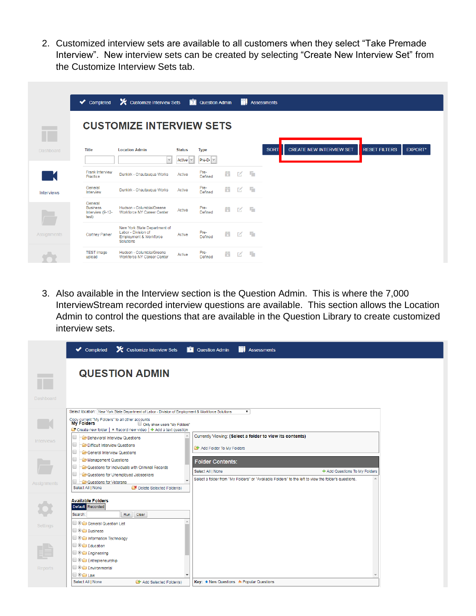2. Customized interview sets are available to all customers when they select "Take Premade Interview". New interview sets can be created by selecting "Create New Interview Set" from the Customize Interview Sets tab.

|                    | Completed                                               | Customize Interview Sets                                                                   |                                    | <b>Question Admin</b>         |   |              | <b>Ti</b> Assessments |             |                                 |                      |                |
|--------------------|---------------------------------------------------------|--------------------------------------------------------------------------------------------|------------------------------------|-------------------------------|---|--------------|-----------------------|-------------|---------------------------------|----------------------|----------------|
|                    |                                                         | <b>CUSTOMIZE INTERVIEW SETS</b>                                                            |                                    |                               |   |              |                       |             |                                 |                      |                |
| <b>Dashboard</b>   | <b>Title</b>                                            | <b>Location Admin</b><br>$\vee$                                                            | <b>Status</b><br>Active $  \vee  $ | <b>Type</b><br>$Pre-Di$ $ V $ |   |              |                       | <b>SORT</b> | <b>CREATE NEW INTERVIEW SET</b> | <b>RESET FILTERS</b> | <b>EXPORT*</b> |
|                    | <b>Frank Interview</b><br>Practice                      | Dunkirk - Chautaugua Works                                                                 | Active                             | Pre-<br>Defined               | ÷ | K            | F.                    |             |                                 |                      |                |
| Interviews         | General<br>Interview                                    | Dunkirk - Chautaugua Works                                                                 | Active                             | Pre-<br>Defined               | ÷ | М            | F.                    |             |                                 |                      |                |
|                    | General<br><b>Business</b><br>Interview (9-12-<br>test) | Hudson - Columbia/Greene<br>Workforce NY Career Center                                     | Active                             | Pre-<br>Defined               | ÷ | 环            | Т'n.                  |             |                                 |                      |                |
| <b>Assignments</b> | <b>Cortney Parker</b>                                   | New York State Department of<br>Labor - Division of<br>Employment & Workforce<br>Solutions | Active                             | Pre-<br>Defined               | ÷ | K            | F.                    |             |                                 |                      |                |
|                    | <b>TEST</b> image<br>upload                             | Hudson - Columbia/Greene<br>Workforce NY Career Center                                     | Active                             | Pre-<br>Defined               | 齿 | $\mathbb{Z}$ | F.                    |             |                                 |                      |                |

3. Also available in the Interview section is the Question Admin. This is where the 7,000 InterviewStream recorded interview questions are available. This section allows the Location Admin to control the questions that are available in the Question Library to create customized interview sets.

|                    | X Customize Interview Sets<br>$\blacktriangleright$ Completed                                                                                                     | <b>Question Admin</b><br><b>NU</b> Assessments                                                       |
|--------------------|-------------------------------------------------------------------------------------------------------------------------------------------------------------------|------------------------------------------------------------------------------------------------------|
|                    | <b>QUESTION ADMIN</b>                                                                                                                                             |                                                                                                      |
| Dashboard          |                                                                                                                                                                   |                                                                                                      |
|                    | Select location: New York State Department of Labor - Division of Employment & Workforce Solutions                                                                | $\mathbf{v}$                                                                                         |
|                    | Copy current "My Folders" to all other accounts<br>My Folders<br>Only show users "My Folders"<br>Create new folder   All Record new video   + Add a text question |                                                                                                      |
| <b>Interviews</b>  | Behavioral Interview Questions<br>Difficult Interview Questions<br>lo<br>General Interview Questions                                                              | Currently Viewing: (Select a folder to view its contents)<br>Add Folder To My Folders                |
|                    | Management Questions<br>10<br>Questions for Individuals with Criminal Records                                                                                     | <b>Folder Contents:</b>                                                                              |
|                    | $\Box$<br>Questions for Unemployed Jobseekers                                                                                                                     | Select All   None<br>+ Add Questions To My Folders                                                   |
| <b>Assignments</b> | Questions for Veterans<br>Select All   None<br>Delete Selected Folder(s)                                                                                          | Select a folder from "My Folders" or "Available Folders" to the left to view the folder's questions. |
|                    | <b>Available Folders</b><br>Default Recorded<br>Search:<br>Run<br>Clear                                                                                           |                                                                                                      |
|                    | General Question List<br>$\Box$ $\Box$ $\Box$ Business                                                                                                            |                                                                                                      |
|                    | Information Technology                                                                                                                                            |                                                                                                      |
|                    | □ 申 ● Education                                                                                                                                                   |                                                                                                      |
|                    | □ 中 □ Engineering                                                                                                                                                 |                                                                                                      |
|                    | Entrepreneurship<br>III <b>E Environmental</b>                                                                                                                    |                                                                                                      |
|                    | <b>D 中心 Law</b>                                                                                                                                                   |                                                                                                      |
|                    | Select All   None<br>Add Selected Folder(s)                                                                                                                       | Key: ★ New Questions & Popular Questions                                                             |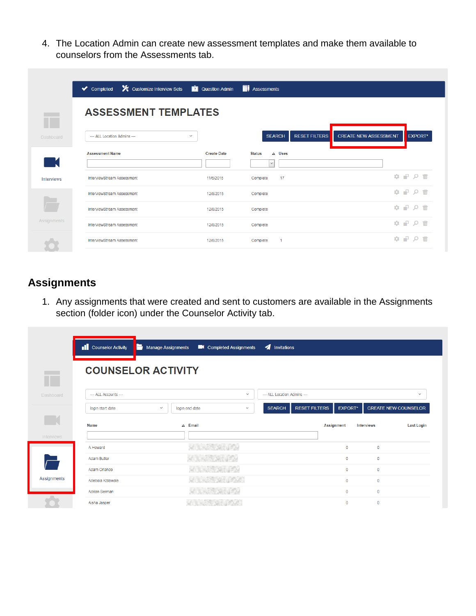4. The Location Admin can create new assessment templates and make them available to counselors from the Assessments tab.

|                    | Completed                         | X Customize Interview Sets <b>2</b> Question Admin | <b>TI</b> Assessments                       |                              |                                                                                                                  |
|--------------------|-----------------------------------|----------------------------------------------------|---------------------------------------------|------------------------------|------------------------------------------------------------------------------------------------------------------|
|                    | <b>ASSESSMENT TEMPLATES</b>       |                                                    |                                             |                              |                                                                                                                  |
| Dashboard          | --- ALL Location Admins ---       | $\checkmark$                                       | <b>RESET FILTERS</b><br><b>SEARCH</b>       | <b>CREATE NEW ASSESSMENT</b> | EXPORT*                                                                                                          |
|                    | <b>Assessment Name</b>            | <b>Create Date</b>                                 | $\triangle$ Uses<br><b>Status</b><br>$\vee$ |                              |                                                                                                                  |
| Interviews         | InterviewStream Assessment        | 11/6/2015                                          | 17<br>Complete                              |                              | $\begin{array}{c} \bullet \quad P \quad \circ \quad \hat{\mathfrak{m}} \end{array}$                              |
|                    | InterviewStream Assessment        | 12/8/2015                                          | Complete                                    |                              | ☆ 早 0 命                                                                                                          |
|                    | InterviewStream Assessment        | 12/8/2015                                          | Complete                                    |                              | $\begin{array}{c}\n\bullet & \bullet & \bullet & \bullet \\ \bullet & \bullet & \bullet & \bullet\n\end{array}$  |
| <b>Assignments</b> | <b>InterviewStream Assessment</b> | 12/8/2015                                          | Complete                                    |                              | ㅎ 무 ㅇ ㅎ                                                                                                          |
|                    | InterviewStream Assessment        | 12/8/2015                                          | Complete                                    |                              | $\begin{array}{c} \bullet \end{array} \begin{array}{c} \bullet \end{array} \begin{array}{c} \bullet \end{array}$ |

#### **Assignments**

1. Any assignments that were created and sent to customers are available in the Assignments section (folder icon) under the Counselor Activity tab.

|                          | Counselor Activity<br>Н | <b>Manage Assignments</b>      | Completed Assignments | Invitations                 |                      |                   |                   |                             |
|--------------------------|-------------------------|--------------------------------|-----------------------|-----------------------------|----------------------|-------------------|-------------------|-----------------------------|
|                          |                         | <b>COUNSELOR ACTIVITY</b>      |                       |                             |                      |                   |                   |                             |
| <b>Dashboard</b>         | --- ALL Accounts ---    |                                | $\checkmark$          | --- ALL Location Admins --- |                      |                   |                   | $\checkmark$                |
|                          | login start date        | $\checkmark$<br>login end date | $\checkmark$          | <b>SEARCH</b>               | <b>RESET FILTERS</b> | <b>EXPORT*</b>    |                   | <b>CREATE NEW COUNSELOR</b> |
|                          | Name                    | $\triangle$ Email              |                       |                             |                      | <b>Assignment</b> | <b>Interviews</b> | <b>Last Login</b>           |
| <b>Interviews</b>        | A Howard                |                                |                       |                             |                      | $\mathbf{0}$      | $\mathbf{0}$      |                             |
| $\overline{\phantom{0}}$ | Adam Butler             |                                |                       |                             |                      | $\circ$           | $\circ$           |                             |
|                          | Adam Orlando            | $-250,000$                     |                       |                             |                      | $\mathbf{0}$      | $\circ$           |                             |
| Assignments              | Adebola Kolawole        |                                |                       |                             |                      | $\mathbf{0}$      | $\mathbf{0}$      |                             |
|                          | Adrian Berman           |                                |                       |                             |                      | $\circ$           | $\circ$           |                             |
|                          | Aisha Jasper            | of the state and provided      |                       |                             |                      | $\mathbf{0}$      | $\circ$           |                             |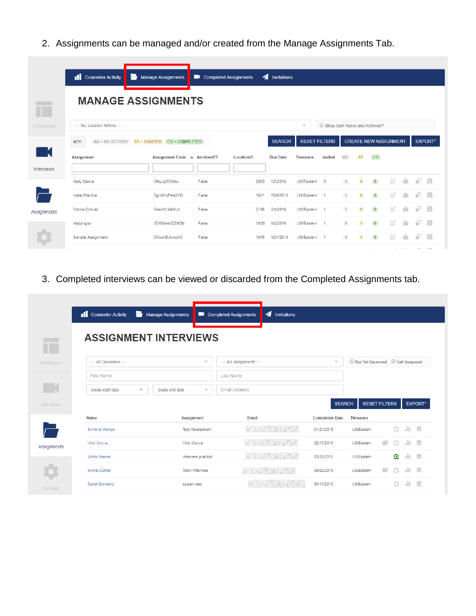2. Assignments can be managed and/or created from the Manage Assignments Tab.

|             | Counselor Activity                        | Manage Assignments           | Completed Assignments | 4          | Invitations     |                   |                                |              |              |                              |   |    |     |                |
|-------------|-------------------------------------------|------------------------------|-----------------------|------------|-----------------|-------------------|--------------------------------|--------------|--------------|------------------------------|---|----|-----|----------------|
|             | <b>MANAGE ASSIGNMENTS</b>                 |                              |                       |            |                 |                   |                                |              |              |                              |   |    |     |                |
| Dashboard   | --- ALL Location Admins ---               |                              |                       |            |                 | $\checkmark$      | Show both Active and Archived? |              |              |                              |   |    |     |                |
|             | $NA = NO$ ACTIVITY $ST = STARTED$<br>KEY: | $CO = COMPLETED$             |                       |            | <b>SEARCH</b>   |                   | <b>RESET FILTERS</b>           |              |              | <b>CREATE NEW ASSIGNMENT</b> |   |    |     | <b>EXPORT*</b> |
| Interviews  | <b>Assignment</b>                         | Assignment Code △ ArchivedTF |                       | LocationID | <b>Due Date</b> | <b>Timezone</b>   | <b>Invited</b>                 | <b>NA</b>    | <b>ST</b>    | <b>CO</b>                    |   |    |     |                |
|             | <b>Kelly Garcia</b>                       | 0fAyJpDDr9sv                 | False                 | 2060       | 5/2/2018        | US/Eastern        | $\overline{0}$                 | $\mathbf{0}$ | $\Omega$     | $\overline{0}$               | M |    | P.  | ÷              |
|             | Katie Practice                            | 0qH8VqPeA2YD                 | False                 | 1801       | 7/28/2016       | US/Eastern        | $\blacktriangleleft$           | $\mathbf{1}$ | $\mathbf{0}$ | $\bullet$                    | M |    | Æ.  | ÷              |
| Assignments | Donna Conrad                              | 0nevhVJs0KJh                 | False                 | 2196       | 2/1/2018        | US/Eastern        |                                | $\mathbf{1}$ | $\mathbf{0}$ | $\bullet$                    | M | d. | P.  | a a s          |
|             | Maija Igbo                                | 0OGdwshDZ9QN                 | False                 | 1800       | 9/2/2016        | US/Eastern        |                                | $\bf{0}$     | $\mathbf{1}$ | $\bullet$                    | 区 | Ġ  | ÷P. | ÷              |
|             | Sample Assignment                         | <b>00uwrEJkmuhO</b>          | False                 | 1856       | 3/21/2019       | <b>US/Eastern</b> |                                | $\mathbf{0}$ |              | $\overline{0}$               | M |    | ÷   | ÷              |
|             |                                           |                              |                       |            |                 |                   |                                |              |              |                              |   |    |     |                |

3. Completed interviews can be viewed or discarded from the Completed Assignments tab.

|                   | Counselor Activity<br>е           | <b>Manage Assignments</b> |              | Completed Assignments   | Invitations                                                                   |                        |                                |    |    |        |                |
|-------------------|-----------------------------------|---------------------------|--------------|-------------------------|-------------------------------------------------------------------------------|------------------------|--------------------------------|----|----|--------|----------------|
|                   | <b>ASSIGNMENT INTERVIEWS</b>      |                           |              |                         |                                                                               |                        |                                |    |    |        |                |
| Dashboard         | --- All Counselors ---            |                           | $\checkmark$ | --- ALL Assignments --- |                                                                               | $\checkmark$           | Not Yet Reviewed Self Assessed |    |    |        |                |
|                   | <b>First Name</b>                 |                           |              | <b>Last Name</b>        |                                                                               |                        |                                |    |    |        |                |
|                   | $\checkmark$<br>create start date | create end date           | $\checkmark$ | <b>Email Address</b>    |                                                                               |                        |                                |    |    |        |                |
| <b>Interviews</b> |                                   |                           |              |                         |                                                                               | <b>SEARCH</b>          | <b>RESET FILTERS</b>           |    |    |        | <b>EXPORT*</b> |
|                   | <b>Name</b>                       | <b>Assignment</b>         |              | Email                   |                                                                               | <b>Completion Date</b> | <b>Timezone</b>                |    |    |        |                |
|                   | Symone Wango                      | <b>Test Assessment</b>    |              |                         | 나는 나간 아시아나                                                                    | 01/21/2016             | US/Eastern                     |    | n. | du.    | ि              |
| Assignments       | Vicki Cocca                       | Vicki Cocca               |              |                         | <b>MARK MARK</b>                                                              | 02/17/2016             | US/Eastern                     | Ĥİ | n  | du.    | ाणि            |
|                   | JoAnn Merkel                      | interview practicd        |              |                         | $\frac{1}{2}$ , $\frac{1}{2}$ , $\frac{1}{2}$ , $\frac{1}{2}$ , $\frac{1}{2}$ | 03/20/2016             | US/Eastern                     |    | Q. | 山 面    |                |
|                   | Sylvia Dunlop                     | Mock Interview            |              |                         |                                                                               | 05/03/2016             | US/Eastern                     | Ĥİ |    | al p   | 而              |
| Settings          | Sarah Bonawitz                    | system test               |              |                         |                                                                               | 05/17/2016             | US/Eastern                     |    |    | dı.    | 而              |
|                   |                                   |                           |              |                         |                                                                               |                        |                                |    |    | $\sim$ | $\sim$         |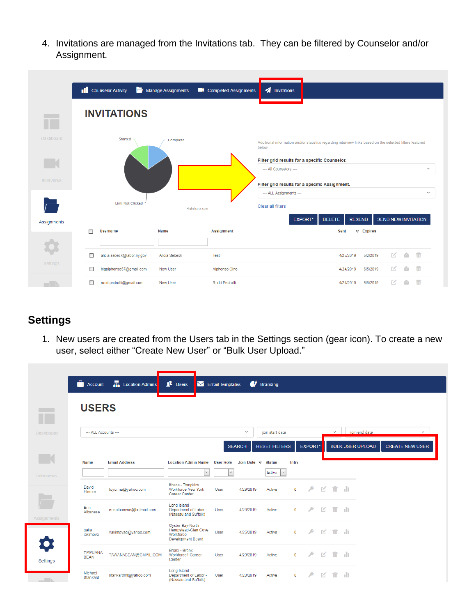4. Invitations are managed from the Invitations tab. They can be filtered by Counselor and/or Assignment.

|                   | Counselor Activity              | Manage Assignments | Completed Assignments | Invitations                                                                                                         |                                             |
|-------------------|---------------------------------|--------------------|-----------------------|---------------------------------------------------------------------------------------------------------------------|---------------------------------------------|
|                   | <b>INVITATIONS</b>              |                    |                       |                                                                                                                     |                                             |
| Dashboard         | Started                         | Complete           |                       | Additional information and/or statistics regarding interview links based on the selected filters featured<br>below. |                                             |
|                   |                                 |                    |                       | Filter grid results for a specific Counselor.<br>--- All Counselors ---                                             | $\checkmark$                                |
| <b>Interviews</b> |                                 |                    |                       | Filter grid results for a specific Assignment.                                                                      |                                             |
|                   | <b>Link Not Clicked</b>         |                    | Highcharts.com        | --- ALL Assignments ---<br><b>Clear all filters</b>                                                                 | $\checkmark$                                |
| Assignments       |                                 |                    |                       | <b>EXPORT*</b><br><b>DELETE</b>                                                                                     | <b>SEND NEW INVITATION</b><br><b>RESEND</b> |
|                   | <b>Username</b><br>г            | <b>Name</b>        | <b>Assignment</b>     | Sent                                                                                                                | $\nabla$ Expires                            |
|                   | г<br>alicia.sebeck@labor.ny.gov | Alicia Sebeck      | Test                  |                                                                                                                     | 而<br>EZ.<br>5/2/2019<br>4/25/2019           |
| Settings          | bigalphonso57@gmail.com<br>п    | <b>New User</b>    | Alphonso Cino         |                                                                                                                     | 而<br>М<br>4/24/2019<br>6/5/2019             |
| - II h            | rodd.pedrotti@gmail.com<br>□    | New User           | Rodd Pedrotti         |                                                                                                                     | 4/24/2019<br>5/8/2019                       |

## **Settings**

1. New users are created from the Users tab in the Settings section (gear icon). To create a new user, select either "Create New User" or "Bulk User Upload."

|                   | <b>C</b> Account              | <b>H</b> Location Admins | $\mathbf{\Omega}$ Users                                                   | $\blacksquare$ Email Templates   |                    | <b>6</b> Branding                       |                |                |              |                         |     |                         |                        |
|-------------------|-------------------------------|--------------------------|---------------------------------------------------------------------------|----------------------------------|--------------------|-----------------------------------------|----------------|----------------|--------------|-------------------------|-----|-------------------------|------------------------|
|                   | <b>USERS</b>                  |                          |                                                                           |                                  |                    |                                         |                |                |              |                         |     |                         |                        |
| Dashboard         | --- ALL Accounts ---          |                          |                                                                           |                                  | $\checkmark$       | join start date                         |                |                |              | $\checkmark$            |     | join end date           | $\checkmark$           |
|                   |                               |                          |                                                                           |                                  | <b>SEARCH</b>      | <b>RESET FILTERS</b>                    |                | <b>EXPORT*</b> |              |                         |     | <b>BULK USER UPLOAD</b> | <b>CREATE NEW USER</b> |
| <b>Interviews</b> | <b>Name</b>                   | <b>Email Address</b>     | <b>Location Admin Name</b><br>$\checkmark$                                | <b>User Role</b><br>$\checkmark$ | Join Date $\nabla$ | <b>Status</b><br>$\vert \vee$<br>Active | Intry          |                |              |                         |     |                         |                        |
|                   | David<br>Elmore               | toyo.ma@yahoo.com        | Ithaca - Tompkins<br><b>Workforce New York</b><br>Career Center           | User                             | 4/29/2019          | Active                                  | $\mathbf 0$    | ۹              | K            | $\overline{\mathbb{m}}$ | -lt |                         |                        |
| Assignments       | Erin<br>Albanese              | erinalbanese@hotmail.com | Long Island<br>Department of Labor -<br>(Nassau and Suffolk)              | User                             | 4/29/2019          | Active                                  | $\mathbf{0}$   | ₽              | K            | 而                       | -lu |                         |                        |
|                   | galia<br>iakimova             | yakimovag@yahoo.com      | Oyster Bay-North<br>Hempstead-Glen Cove<br>Workforce<br>Development Board | User                             | 4/25/2019          | Active                                  | $\mathbf{0}$   | $\rightarrow$  | 区            | 而                       | -lu |                         |                        |
| Settings          | <b>TAWUANA</b><br><b>BEAN</b> | TAWANABEAN@GMAIL.COM     | Bronx - Bronx<br>Workforce1 Career<br>Center                              | User                             | 4/23/2019          | Active                                  | $\overline{0}$ | ⋗              | $\mathbb{Z}$ | $\overline{\mathbb{m}}$ | -lu |                         |                        |
| $  -$             | Michael<br>Stankard           | stankardml@yahoo.com     | Long Island<br>Department of Labor -<br>(Nassau and Suffolk)              | User                             | 4/23/2019          | Active                                  | $\mathbf{0}$   | ♪              | 环            | 而                       | -lu |                         |                        |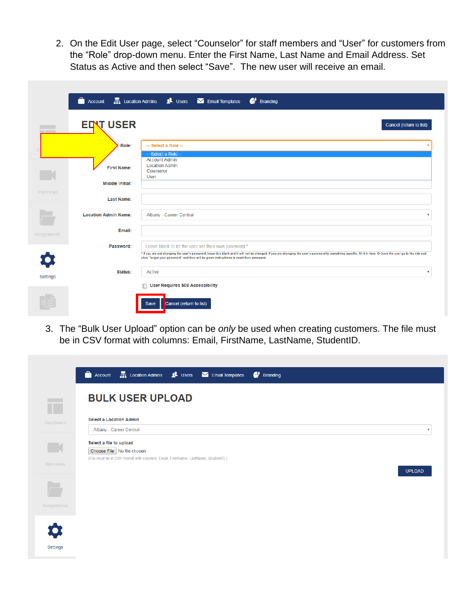2. On the Edit User page, select "Counselor" for staff members and "User" for customers from the "Role" drop-down menu. Enter the First Name, Last Name and Email Address. Set Status as Active and then select "Save". The new user will receive an email.

|                    | <b>Account</b>              | Location Admins 1 Users M Email Templates<br>$\bullet$ Branding                                                                                                                                                                                                                                              |
|--------------------|-----------------------------|--------------------------------------------------------------------------------------------------------------------------------------------------------------------------------------------------------------------------------------------------------------------------------------------------------------|
|                    |                             |                                                                                                                                                                                                                                                                                                              |
| __                 | <b>EDVT USER</b>            | Cancel (return to list)                                                                                                                                                                                                                                                                                      |
|                    |                             |                                                                                                                                                                                                                                                                                                              |
|                    | Role:                       | -- Select a Role --<br>- Select a Role -                                                                                                                                                                                                                                                                     |
|                    |                             | <b>Account Admin</b>                                                                                                                                                                                                                                                                                         |
|                    | <b>First Name:</b>          | <b>Location Admin</b><br>Counselor<br>User                                                                                                                                                                                                                                                                   |
|                    | Middle Initial:             |                                                                                                                                                                                                                                                                                                              |
| <b>Interviews</b>  |                             |                                                                                                                                                                                                                                                                                                              |
|                    | <b>Last Name:</b>           |                                                                                                                                                                                                                                                                                                              |
|                    | <b>Location Admin Name:</b> | Albany - Career Central                                                                                                                                                                                                                                                                                      |
| <b>Assignments</b> | Email:                      |                                                                                                                                                                                                                                                                                                              |
|                    | Password:                   | Leave blank to let the user set their own password.*                                                                                                                                                                                                                                                         |
|                    |                             | * If you are not changing the user's password, leave this blank and it will not be changed. If you are changing the user's password to something specific, fill it in here. Or have the user go to the site and<br>click "forgot your password" and they will be given instructions to reset their password. |
| Settings           | Status:                     | Active<br>$\boldsymbol{\mathrm{v}}$                                                                                                                                                                                                                                                                          |
|                    |                             | <b>User Requires 508 Accessibility</b><br>$\Box$                                                                                                                                                                                                                                                             |
|                    |                             |                                                                                                                                                                                                                                                                                                              |
|                    |                             | Cancel (return to list)<br>Save                                                                                                                                                                                                                                                                              |

3. The "Bulk User Upload" option can be *only* be used when creating customers. The file must be in CSV format with columns: Email, FirstName, LastName, StudentID.

|                   | <b>C</b> ) Account <b>F</b> , Location Admins <b>2</b> Users <b>M</b> Email Templates<br><b>6</b> Branding                                 |  |  |
|-------------------|--------------------------------------------------------------------------------------------------------------------------------------------|--|--|
| $\mathbb T$       | <b>BULK USER UPLOAD</b>                                                                                                                    |  |  |
| <b>Dashboard</b>  | <b>Select a Location Admin</b><br>Albany - Career Central<br>$\boldsymbol{\mathrm{v}}$                                                     |  |  |
| $\mathbb{R}$      | Select a file to upload<br>Choose File No file chosen<br>(File must be in CSV format with columns: Email, FirstName, LastName, StudentID.) |  |  |
| <b>Interviews</b> | <b>UPLOAD</b>                                                                                                                              |  |  |
| ÷                 |                                                                                                                                            |  |  |
| Assignments       |                                                                                                                                            |  |  |
| Settings          |                                                                                                                                            |  |  |